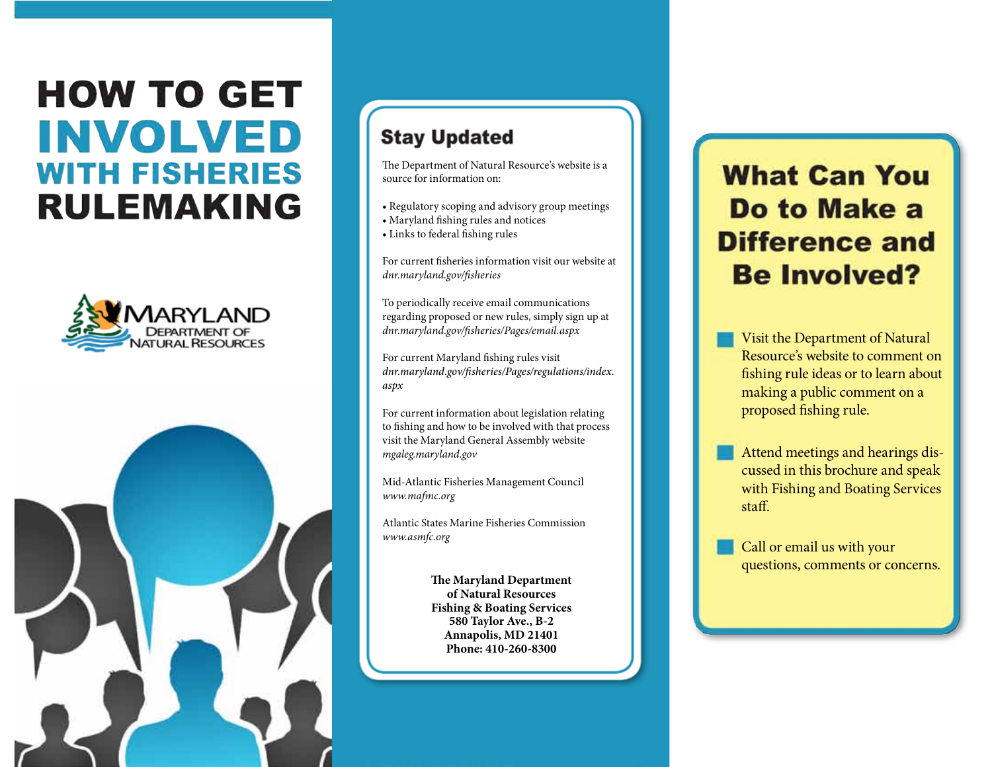# **HOW TO GET INVOLVED WITH FISHERIES RULEMAKING**





## **Stay Updated**

The Department of Natural Resource's website is a source for information on:

- Regulatory scoping and advisory group meetings
- Maryland fishing rules and notices
- Links to federal fishing rules

For current fisheries information visit our website at *dnr.maryland.gov/fisheries*

To periodically receive email communications regarding proposed or new rules, simply sign up at *dnr.maryland.gov/fisheries/Pages/email.aspx*

For current Maryland fishing rules visit *dnr.maryland.gov/fisheries/Pages/regulations/index. aspx*

For current information about legislation relating to fishing and how to be involved with that process visit the Maryland General Assembly website *mgaleg.maryland.gov*

Mid-Atlantic Fisheries Management Council *www.mafmc.org*

Atlantic States Marine Fisheries Commission *www.asmfc.org*

> **The Maryland Department of Natural Resources Fishing & Boating Services 580 Taylor Ave., B-2 Annapolis, MD 21401 Phone: 410-260-8300**

## **What Can You** Do to Make a **Difference and Be Involved?**

Visit the Department of Natural Resource's website to comment on fishing rule ideas or to learn about making a public comment on a proposed fishing rule.

Attend meetings and hearings discussed in this brochure and speak with Fishing and Boating Services staff.

Call or email us with your questions, comments or concerns.